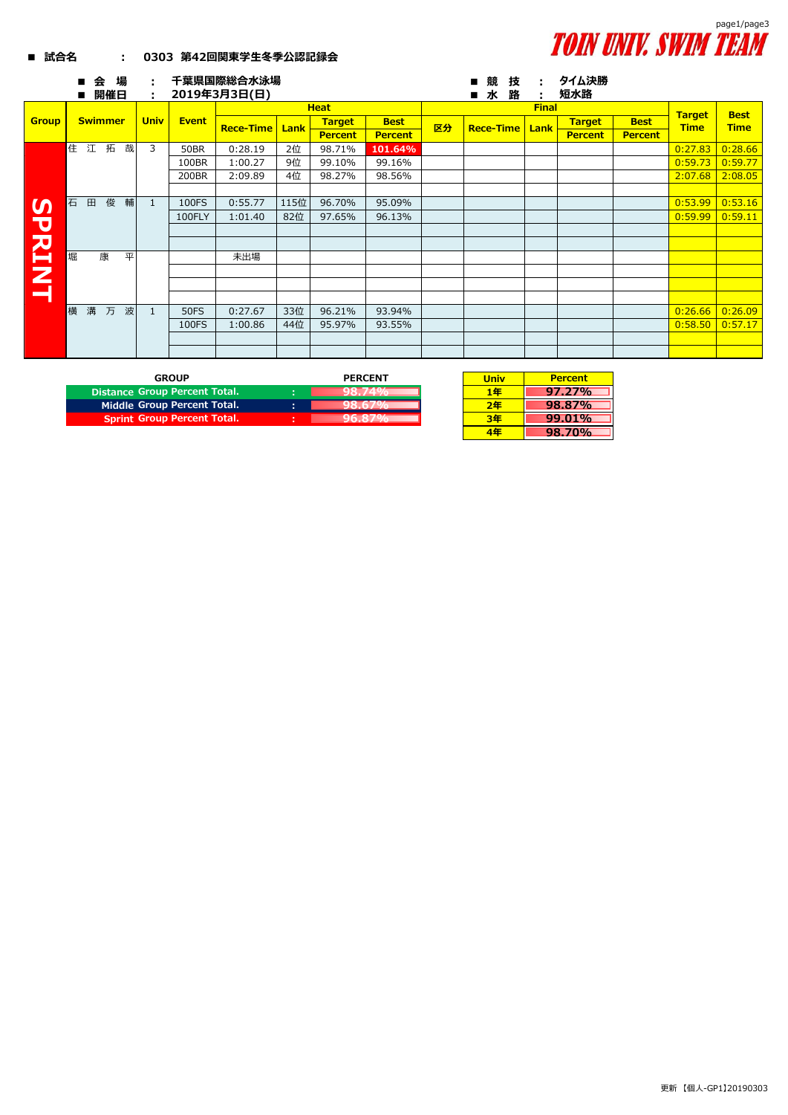

## **■ 試合名 : 0303 第42回関東学生冬季公認記録会**

|                           | 場<br>슾<br>п<br>開催日<br>п | ÷<br>÷       |              | 千葉県国際総合水泳場<br>2019年3月3日(日) |      |                |                |    | 競<br>技<br>п<br>水<br>路<br>п | ÷<br>٠       | タイム決勝<br>短水路   |                |               |             |
|---------------------------|-------------------------|--------------|--------------|----------------------------|------|----------------|----------------|----|----------------------------|--------------|----------------|----------------|---------------|-------------|
|                           |                         |              |              |                            |      | <b>Heat</b>    |                |    |                            | <b>Final</b> |                |                | <b>Target</b> | <b>Best</b> |
| <b>Group</b>              | <b>Swimmer</b>          | <b>Univ</b>  | <b>Event</b> | <b>Rece-Time</b>           | Lank | <b>Target</b>  | <b>Best</b>    | 区分 | <b>Rece-Time</b>           | Lank         | <b>Target</b>  | <b>Best</b>    | <b>Time</b>   | <b>Time</b> |
|                           |                         |              |              |                            |      | <b>Percent</b> | <b>Percent</b> |    |                            |              | <b>Percent</b> | <b>Percent</b> |               |             |
|                           | 住<br>柘<br>哉<br>江        | 3            | <b>50BR</b>  | 0:28.19                    | 2位   | 98.71%         | 101.64%        |    |                            |              |                |                | 0:27.83       | 0:28.66     |
|                           |                         |              | 100BR        | 1:00.27                    | 9位   | 99.10%         | 99.16%         |    |                            |              |                |                | 0:59.73       | 0:59.77     |
|                           |                         |              | 200BR        | 2:09.89                    | 4位   | 98.27%         | 98.56%         |    |                            |              |                |                | 2:07.68       | 2:08.05     |
|                           |                         |              |              |                            |      |                |                |    |                            |              |                |                |               |             |
| $\boldsymbol{\mathsf{S}}$ | 俊<br>輔<br>石<br>田        | $\mathbf{1}$ | 100FS        | 0:55.77                    | 115位 | 96.70%         | 95.09%         |    |                            |              |                |                | 0:53.99       | 0:53.16     |
|                           |                         |              | 100FLY       | 1:01.40                    | 82位  | 97.65%         | 96.13%         |    |                            |              |                |                | 0:59.99       | 0:59.11     |
|                           |                         |              |              |                            |      |                |                |    |                            |              |                |                |               |             |
|                           |                         |              |              |                            |      |                |                |    |                            |              |                |                |               |             |
| 공주                        | 堀<br>康<br>平             |              |              | 未出場                        |      |                |                |    |                            |              |                |                |               |             |
|                           |                         |              |              |                            |      |                |                |    |                            |              |                |                |               |             |
| $\mathbf{z}$              |                         |              |              |                            |      |                |                |    |                            |              |                |                |               |             |
|                           |                         |              |              |                            |      |                |                |    |                            |              |                |                |               |             |
|                           | 構<br>波<br>溝<br>万        | $\mathbf{1}$ | <b>50FS</b>  | 0:27.67                    | 33位  | 96.21%         | 93.94%         |    |                            |              |                |                | 0:26.66       | 0:26.09     |
|                           |                         |              | 100FS        | 1:00.86                    | 44位  | 95.97%         | 93.55%         |    |                            |              |                |                | 0:58.50       | 0:57.17     |
|                           |                         |              |              |                            |      |                |                |    |                            |              |                |                |               |             |
|                           |                         |              |              |                            |      |                |                |    |                            |              |                |                |               |             |

| GROUP                              |   | <b>PERCENT</b> | Univ |
|------------------------------------|---|----------------|------|
| Distance Group Percent Total.      |   |                | ∣⊕   |
| Middle Group Percent Total.        | ٠ |                | つ年   |
| <b>Sprint Group Percent Total.</b> |   |                |      |
|                                    |   |                |      |

| <b>Percent</b> |
|----------------|
| 97.27%         |
| 98.87%         |
| 99.01%         |
| <b>98.70%</b>  |
|                |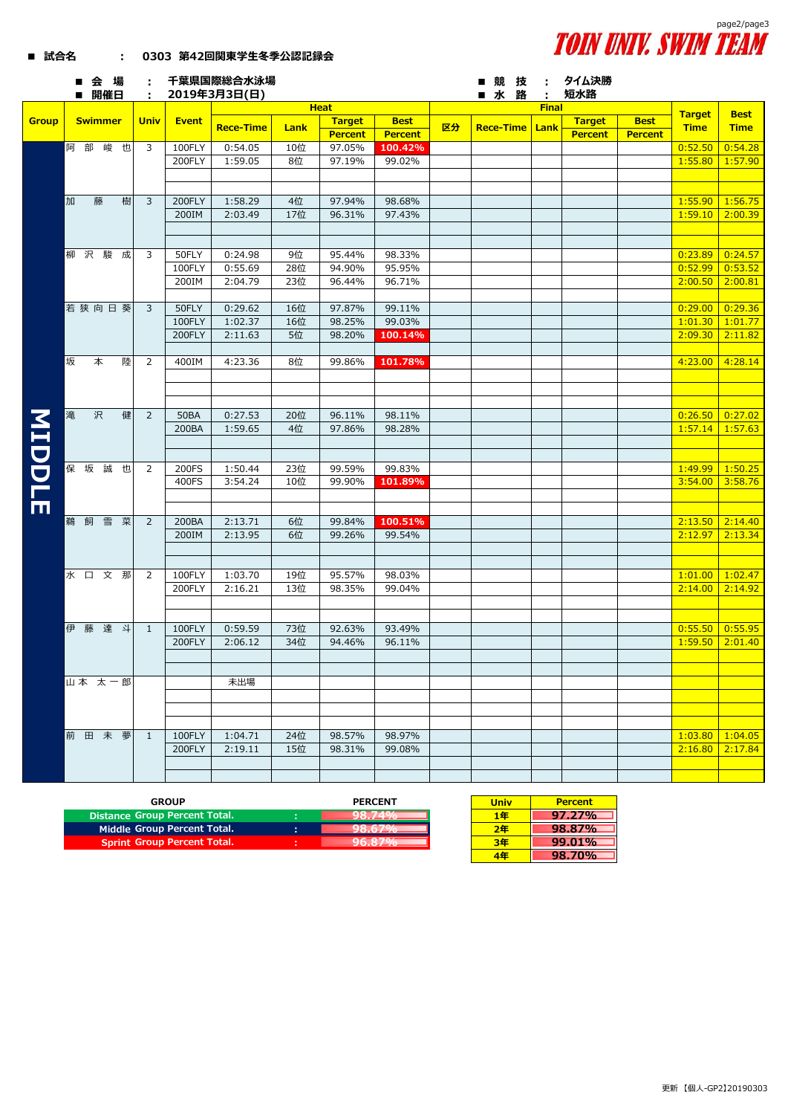

| ■ 試合名 |  | 0303 第42回関東学生冬季公認記録会 |
|-------|--|----------------------|
|       |  |                      |

|              | ■会場<br>■ 開催日   | ÷.             |              | 千葉県国際総合水泳場<br>2019年3月3日(日) |      |                |                |    | ■競技<br>■水路              | ÷<br>÷       | タイム決勝<br>短水路   |                |                   |             |
|--------------|----------------|----------------|--------------|----------------------------|------|----------------|----------------|----|-------------------------|--------------|----------------|----------------|-------------------|-------------|
|              |                |                |              |                            |      | <b>Heat</b>    |                |    |                         | <b>Final</b> |                |                |                   |             |
| <b>Group</b> | <b>Swimmer</b> | <b>Univ</b>    | <b>Event</b> |                            |      | <b>Target</b>  | <b>Best</b>    |    |                         |              | <b>Target</b>  | <b>Best</b>    | <b>Target</b>     | <b>Best</b> |
|              |                |                |              | <b>Rece-Time</b>           | Lank | <b>Percent</b> | <b>Percent</b> | 区分 | <b>Rece-Time   Lank</b> |              | <b>Percent</b> | <b>Percent</b> | <b>Time</b>       | <b>Time</b> |
|              | 阿 部<br>峻也      | 3              | 100FLY       | 0:54.05                    | 10位  | 97.05%         | 100.42%        |    |                         |              |                |                | 0:52.50           | 0:54.28     |
|              |                |                | 200FLY       | 1:59.05                    | 8位   | 97.19%         | 99.02%         |    |                         |              |                |                | 1:55.80           | 1:57.90     |
|              |                |                |              |                            |      |                |                |    |                         |              |                |                |                   |             |
|              |                |                |              |                            |      |                |                |    |                         |              |                |                |                   |             |
|              |                |                |              |                            |      |                |                |    |                         |              |                |                |                   |             |
|              | 加<br>樹<br>藤    | 3              | 200FLY       | 1:58.29                    | 4位   | 97.94%         | 98.68%         |    |                         |              |                |                | 1:55.90           | 1:56.75     |
|              |                |                | 200IM        | 2:03.49                    | 17位  | 96.31%         | 97.43%         |    |                         |              |                |                | 1:59.10           | 2:00.39     |
|              |                |                |              |                            |      |                |                |    |                         |              |                |                |                   |             |
|              |                |                |              |                            |      |                |                |    |                         |              |                |                |                   |             |
|              | 柳沢駿成           | 3              | 50FLY        | 0:24.98                    | 9位   | 95.44%         | 98.33%         |    |                         |              |                |                | 0:23.89           | 0:24.57     |
|              |                |                | 100FLY       | 0:55.69                    | 28位  | 94.90%         | 95.95%         |    |                         |              |                |                | 0:52.99           | 0:53.52     |
|              |                |                | 200IM        | 2:04.79                    | 23位  | 96.44%         | 96.71%         |    |                         |              |                |                | 2:00.50           | 2:00.81     |
|              |                |                |              |                            |      |                |                |    |                         |              |                |                |                   |             |
|              | 若狭向日葵          | 3              | 50FLY        | 0:29.62                    | 16位  | 97.87%         | 99.11%         |    |                         |              |                |                | 0:29.00           | 0:29.36     |
|              |                |                | 100FLY       | 1:02.37                    | 16位  | 98.25%         | 99.03%         |    |                         |              |                |                | 1:01.30           | 1:01.77     |
|              |                |                | 200FLY       | 2:11.63                    | 5位   | 98.20%         | 100.14%        |    |                         |              |                |                | 2:09.30           | 2:11.82     |
|              |                |                |              |                            |      |                |                |    |                         |              |                |                |                   |             |
|              | 坂<br>本<br>陸    | 2              | 400IM        | 4:23.36                    | 8位   | 99.86%         | 101.78%        |    |                         |              |                |                | 4:23.00           | 4:28.14     |
|              |                |                |              |                            |      |                |                |    |                         |              |                |                |                   |             |
|              |                |                |              |                            |      |                |                |    |                         |              |                |                |                   |             |
|              |                |                |              |                            |      |                |                |    |                         |              |                |                |                   |             |
|              | 滝<br>沢<br>健    | $\overline{2}$ | <b>50BA</b>  | 0:27.53                    | 20位  | 96.11%         | 98.11%         |    |                         |              |                |                | 0:26.50           | 0:27.02     |
|              |                |                | 200BA        | 1:59.65                    | 4位   | 97.86%         | 98.28%         |    |                         |              |                |                | 1:57.14           | 1:57.63     |
|              |                |                |              |                            |      |                |                |    |                         |              |                |                |                   |             |
|              |                |                |              |                            |      |                |                |    |                         |              |                |                |                   |             |
| <b>NIDDL</b> | 保坂<br>誠<br>也   | 2              | 200FS        | 1:50.44                    | 23位  | 99.59%         | 99.83%         |    |                         |              |                |                | 1:49.99           | 1:50.25     |
|              |                |                | 400FS        | 3:54.24                    | 10位  | 99.90%         | 101.89%        |    |                         |              |                |                | 3:54.00           | 3:58.76     |
|              |                |                |              |                            |      |                |                |    |                         |              |                |                |                   |             |
| Ш            |                |                |              |                            |      |                |                |    |                         |              |                |                |                   |             |
|              | 雪菜<br>鵜 飼      | $\overline{2}$ | 200BA        | 2:13.71                    | 6位   | 99.84%         | 100.51%        |    |                         |              |                |                | 2:13.50           | 2:14.40     |
|              |                |                | 200IM        | 2:13.95                    | 6位   | 99.26%         | 99.54%         |    |                         |              |                |                | 2:12.97           | 2:13.34     |
|              |                |                |              |                            |      |                |                |    |                         |              |                |                |                   |             |
|              |                |                |              |                            |      |                |                |    |                         |              |                |                |                   |             |
|              | 水口文那           | 2              | 100FLY       | 1:03.70                    | 19位  | 95.57%         | 98.03%         |    |                         |              |                |                | 1:01.00           | 1:02.47     |
|              |                |                | 200FLY       | 2:16.21                    | 13位  | 98.35%         | 99.04%         |    |                         |              |                |                | 2:14.00           | 2:14.92     |
|              |                |                |              |                            |      |                |                |    |                         |              |                |                |                   |             |
|              |                |                |              |                            |      |                |                |    |                         |              |                |                |                   |             |
|              | 伊<br>藤 達 斗     | $\mathbf{1}$   | 100FLY       | 0:59.59                    | 73位  | 92.63%         | 93.49%         |    |                         |              |                |                | 0:55.50           | 0:55.95     |
|              |                |                | 200FLY       | 2:06.12                    | 34位  | 94.46%         | 96.11%         |    |                         |              |                |                | 1:59.50           | 2:01.40     |
|              |                |                |              |                            |      |                |                |    |                         |              |                |                |                   |             |
|              |                |                |              |                            |      |                |                |    |                         |              |                |                |                   |             |
|              | 山本 太一郎         |                |              | 未出場                        |      |                |                |    |                         |              |                |                |                   |             |
|              |                |                |              |                            |      |                |                |    |                         |              |                |                |                   |             |
|              |                |                |              |                            |      |                |                |    |                         |              |                |                |                   |             |
|              |                |                |              |                            |      |                |                |    |                         |              |                |                |                   |             |
|              | 前田未夢           |                |              |                            |      | 98.57%         | 98.97%         |    |                         |              |                |                | 1:03.80           | 1:04.05     |
|              |                | $\overline{1}$ | 100FLY       | 1:04.71                    | 24位  |                |                |    |                         |              |                |                |                   |             |
|              |                |                | 200FLY       | 2:19.11                    | 15位  | 98.31%         | 99.08%         |    |                         |              |                |                | $2:16.80$ 2:17.84 |             |
|              |                |                |              |                            |      |                |                |    |                         |              |                |                |                   |             |
|              |                |                |              |                            |      |                |                |    |                         |              |                |                |                   |             |

| <b>GROUP</b>                       |                | <b>PERCENT</b> | <b>Univ</b> | <b>Percent</b> |
|------------------------------------|----------------|----------------|-------------|----------------|
| Distance Group Percent Total.      | $\blacksquare$ | .              | 1年          | 97.27%         |
| Middle Group Percent Total.        | п.             |                | 2年          | 98.87%         |
| <b>Sprint Group Percent Total.</b> |                |                | 3年          | 99.01%         |

| <b>Univ</b> | <b>Percent</b> |
|-------------|----------------|
| 1年          | $97.27\%$      |
| 2年          | 98.87%         |
| 3年          | 99.01%         |
| 4年          | 98.70%         |